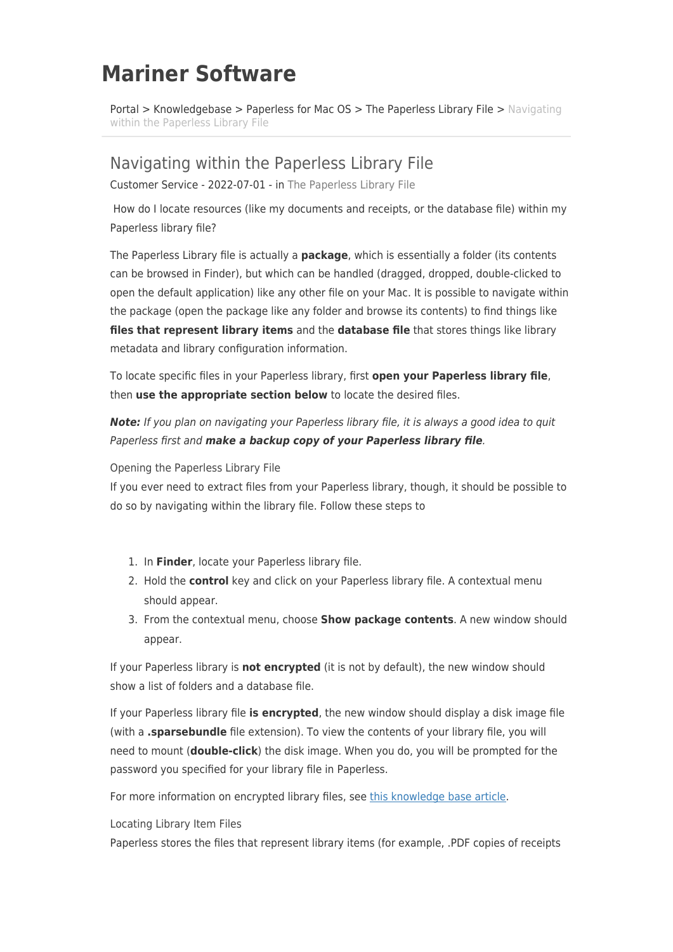## **Mariner Software**

[Portal](https://marinersoftware.deskpro.com/) > [Knowledgebase](https://marinersoftware.deskpro.com/kb) > [Paperless for Mac OS](https://marinersoftware.deskpro.com/kb/paperless-for-mac-os) > [The Paperless Library File](https://marinersoftware.deskpro.com/kb/the-paperless-library-file) > [Navigating](https://marinersoftware.deskpro.com/kb/articles/navigating-within-the-paperless-library-file) [within the Paperless Library File](https://marinersoftware.deskpro.com/kb/articles/navigating-within-the-paperless-library-file)

## Navigating within the Paperless Library File

Customer Service - 2022-07-01 - in [The Paperless Library File](https://marinersoftware.deskpro.com/kb/the-paperless-library-file)

 How do I locate resources (like my documents and receipts, or the database file) within my Paperless library file?

The Paperless Library file is actually a **package**, which is essentially a folder (its contents can be browsed in Finder), but which can be handled (dragged, dropped, double-clicked to open the default application) like any other file on your Mac. It is possible to navigate within the package (open the package like any folder and browse its contents) to find things like **files that represent library items** and the **database file** that stores things like library metadata and library configuration information.

To locate specific files in your Paperless library, first **open your Paperless library file**, then **use the appropriate section below** to locate the desired files.

*Note:* If you plan on navigating your Paperless library file, it is always a good idea to quit Paperless first and *make a backup copy of your Paperless library file*.

Opening the Paperless Library File

If you ever need to extract files from your Paperless library, though, it should be possible to do so by navigating within the library file. Follow these steps to

- 1. In **Finder**, locate your Paperless library file.
- 2. Hold the **control** key and click on your Paperless library file. A contextual menu should appear.
- 3. From the contextual menu, choose **Show package contents**. A new window should appear.

If your Paperless library is **not encrypted** (it is not by default), the new window should show a list of folders and a database file.

If your Paperless library file **is encrypted**, the new window should display a disk image file (with a **.sparsebundle** file extension). To view the contents of your library file, you will need to mount (**double-click**) the disk image. When you do, you will be prompted for the password you specified for your library file in Paperless.

For more information on encrypted library files, see [this knowledge base article.](http://marinersoftware.corphelp.com/kb_article.php?ref=1929-QYXM-8653)

Locating Library Item Files

Paperless stores the files that represent library items (for example, .PDF copies of receipts